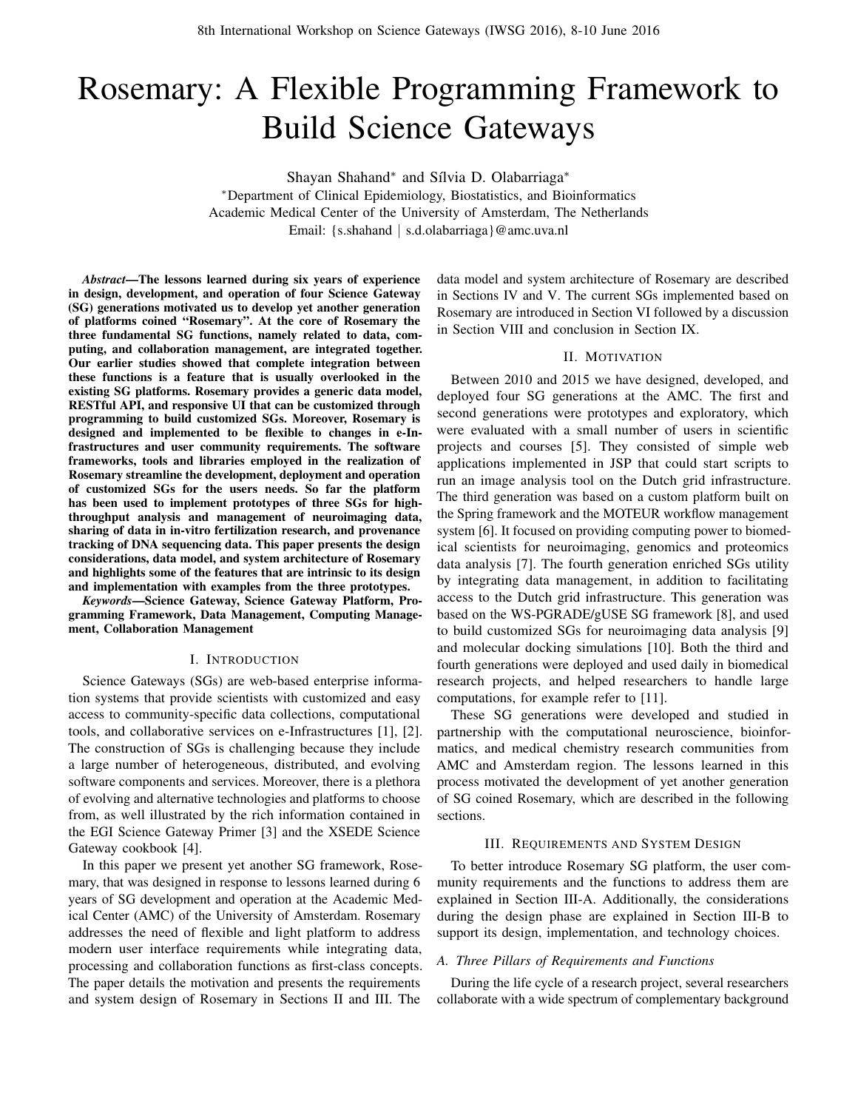# Rosemary: A Flexible Programming Framework to Build Science Gateways

Shayan Shahand<sup>∗</sup> and Sílvia D. Olabarriaga<sup>∗</sup>

<sup>∗</sup>Department of Clinical Epidemiology, Biostatistics, and Bioinformatics Academic Medical Center of the University of Amsterdam, The Netherlands Email: {s.shahand | s.d.olabarriaga}@amc.uva.nl

*Abstract*—The lessons learned during six years of experience in design, development, and operation of four Science Gateway (SG) generations motivated us to develop yet another generation of platforms coined "Rosemary". At the core of Rosemary the three fundamental SG functions, namely related to data, computing, and collaboration management, are integrated together. Our earlier studies showed that complete integration between these functions is a feature that is usually overlooked in the existing SG platforms. Rosemary provides a generic data model, RESTful API, and responsive UI that can be customized through programming to build customized SGs. Moreover, Rosemary is designed and implemented to be flexible to changes in e-Infrastructures and user community requirements. The software frameworks, tools and libraries employed in the realization of Rosemary streamline the development, deployment and operation of customized SGs for the users needs. So far the platform has been used to implement prototypes of three SGs for highthroughput analysis and management of neuroimaging data, sharing of data in in-vitro fertilization research, and provenance tracking of DNA sequencing data. This paper presents the design considerations, data model, and system architecture of Rosemary and highlights some of the features that are intrinsic to its design and implementation with examples from the three prototypes.

*Keywords*—Science Gateway, Science Gateway Platform, Programming Framework, Data Management, Computing Management, Collaboration Management

#### I. INTRODUCTION

Science Gateways (SGs) are web-based enterprise information systems that provide scientists with customized and easy access to community-specific data collections, computational tools, and collaborative services on e-Infrastructures [\[1\]](#page-7-0), [\[2\]](#page-7-1). The construction of SGs is challenging because they include a large number of heterogeneous, distributed, and evolving software components and services. Moreover, there is a plethora of evolving and alternative technologies and platforms to choose from, as well illustrated by the rich information contained in the EGI Science Gateway Primer [\[3\]](#page-7-2) and the XSEDE Science Gateway cookbook [\[4\]](#page-7-3).

In this paper we present yet another SG framework, Rosemary, that was designed in response to lessons learned during 6 years of SG development and operation at the Academic Medical Center (AMC) of the University of Amsterdam. Rosemary addresses the need of flexible and light platform to address modern user interface requirements while integrating data, processing and collaboration functions as first-class concepts. The paper details the motivation and presents the requirements and system design of Rosemary in Sections [II](#page-0-0) and [III.](#page-0-1) The

data model and system architecture of Rosemary are described in Sections [IV](#page-2-0) and [V.](#page-3-0) The current SGs implemented based on Rosemary are introduced in [Section VI](#page-4-0) followed by a discussion in [Section VIII](#page-5-0) and conclusion in [Section IX.](#page-6-0)

## II. MOTIVATION

<span id="page-0-0"></span>Between 2010 and 2015 we have designed, developed, and deployed four SG generations at the AMC. The first and second generations were prototypes and exploratory, which were evaluated with a small number of users in scientific projects and courses [\[5\]](#page-7-4). They consisted of simple web applications implemented in JSP that could start scripts to run an image analysis tool on the Dutch grid infrastructure. The third generation was based on a custom platform built on the Spring framework and the MOTEUR workflow management system [\[6\]](#page-7-5). It focused on providing computing power to biomedical scientists for neuroimaging, genomics and proteomics data analysis [\[7\]](#page-7-6). The fourth generation enriched SGs utility by integrating data management, in addition to facilitating access to the Dutch grid infrastructure. This generation was based on the WS-PGRADE/gUSE SG framework [\[8\]](#page-7-7), and used to build customized SGs for neuroimaging data analysis [\[9\]](#page-7-8) and molecular docking simulations [\[10\]](#page-7-9). Both the third and fourth generations were deployed and used daily in biomedical research projects, and helped researchers to handle large computations, for example refer to [\[11\]](#page-7-10).

These SG generations were developed and studied in partnership with the computational neuroscience, bioinformatics, and medical chemistry research communities from AMC and Amsterdam region. The lessons learned in this process motivated the development of yet another generation of SG coined Rosemary, which are described in the following sections.

#### III. REQUIREMENTS AND SYSTEM DESIGN

<span id="page-0-1"></span>To better introduce Rosemary SG platform, the user community requirements and the functions to address them are explained in [Section](#page-0-2) III-A. Additionally, the considerations during the design phase are explained in [Section](#page-1-0) III-B to support its design, implementation, and technology choices.

#### <span id="page-0-2"></span>*A. Three Pillars of Requirements and Functions*

During the life cycle of a research project, several researchers collaborate with a wide spectrum of complementary background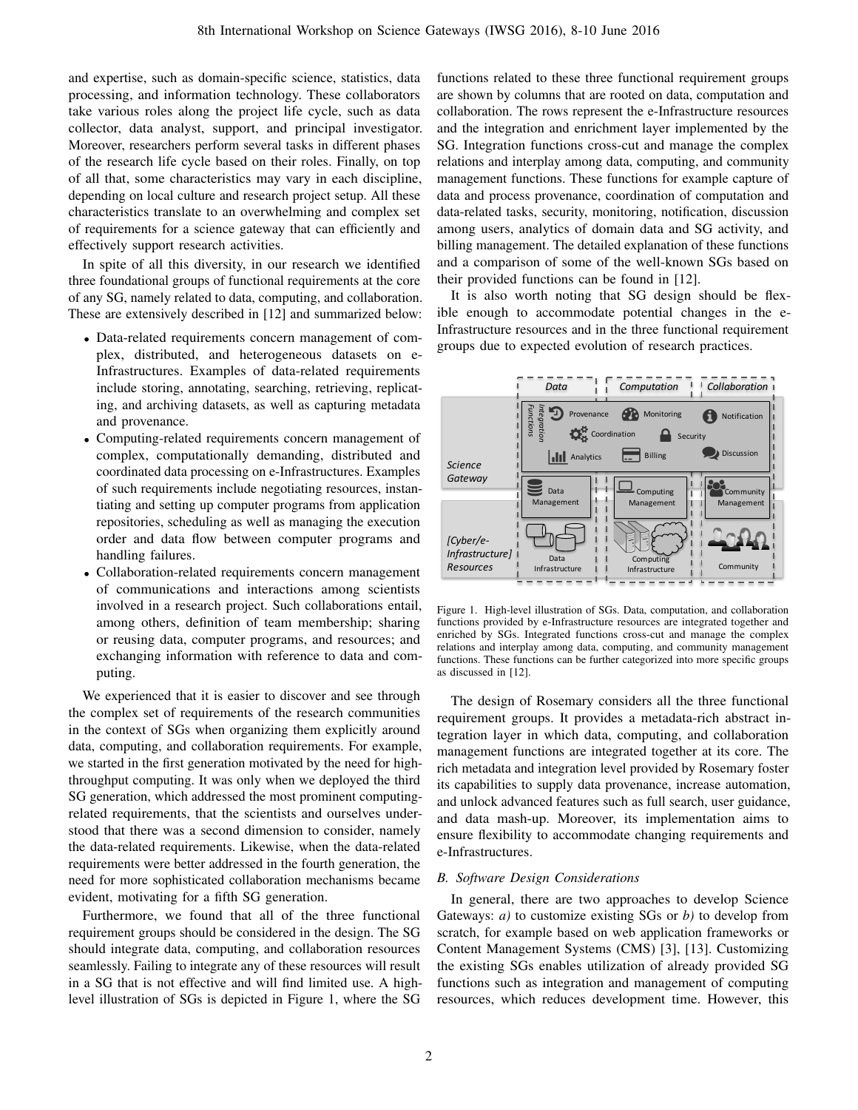and expertise, such as domain-specific science, statistics, data processing, and information technology. These collaborators take various roles along the project life cycle, such as data collector, data analyst, support, and principal investigator. Moreover, researchers perform several tasks in different phases of the research life cycle based on their roles. Finally, on top of all that, some characteristics may vary in each discipline, depending on local culture and research project setup. All these characteristics translate to an overwhelming and complex set of requirements for a science gateway that can efficiently and effectively support research activities.

In spite of all this diversity, in our research we identified three foundational groups of functional requirements at the core of any SG, namely related to data, computing, and collaboration. These are extensively described in [\[12\]](#page-7-11) and summarized below:

- Data-related requirements concern management of complex, distributed, and heterogeneous datasets on e-Infrastructures. Examples of data-related requirements include storing, annotating, searching, retrieving, replicating, and archiving datasets, as well as capturing metadata and provenance.
- Computing-related requirements concern management of complex, computationally demanding, distributed and coordinated data processing on e-Infrastructures. Examples of such requirements include negotiating resources, instantiating and setting up computer programs from application repositories, scheduling as well as managing the execution order and data flow between computer programs and handling failures.
- Collaboration-related requirements concern management of communications and interactions among scientists involved in a research project. Such collaborations entail, among others, definition of team membership; sharing or reusing data, computer programs, and resources; and exchanging information with reference to data and computing.

We experienced that it is easier to discover and see through the complex set of requirements of the research communities in the context of SGs when organizing them explicitly around data, computing, and collaboration requirements. For example, we started in the first generation motivated by the need for highthroughput computing. It was only when we deployed the third SG generation, which addressed the most prominent computingrelated requirements, that the scientists and ourselves understood that there was a second dimension to consider, namely the data-related requirements. Likewise, when the data-related requirements were better addressed in the fourth generation, the need for more sophisticated collaboration mechanisms became evident, motivating for a fifth SG generation.

Furthermore, we found that all of the three functional requirement groups should be considered in the design. The SG should integrate data, computing, and collaboration resources seamlessly. Failing to integrate any of these resources will result in a SG that is not effective and will find limited use. A highlevel illustration of SGs is depicted in [Figure 1,](#page-1-1) where the SG

functions related to these three functional requirement groups are shown by columns that are rooted on data, computation and collaboration. The rows represent the e-Infrastructure resources and the integration and enrichment layer implemented by the SG. Integration functions cross-cut and manage the complex relations and interplay among data, computing, and community management functions. These functions for example capture of data and process provenance, coordination of computation and data-related tasks, security, monitoring, notification, discussion among users, analytics of domain data and SG activity, and billing management. The detailed explanation of these functions and a comparison of some of the well-known SGs based on their provided functions can be found in [\[12\]](#page-7-11).

It is also worth noting that SG design should be flexible enough to accommodate potential changes in the e-Infrastructure resources and in the three functional requirement groups due to expected evolution of research practices.



<span id="page-1-1"></span>Figure 1. High-level illustration of SGs. Data, computation, and collaboration functions provided by e-Infrastructure resources are integrated together and enriched by SGs. Integrated functions cross-cut and manage the complex relations and interplay among data, computing, and community management functions. These functions can be further categorized into more specific groups as discussed in [\[12\]](#page-7-11).

The design of Rosemary considers all the three functional requirement groups. It provides a metadata-rich abstract integration layer in which data, computing, and collaboration management functions are integrated together at its core. The rich metadata and integration level provided by Rosemary foster its capabilities to supply data provenance, increase automation, and unlock advanced features such as full search, user guidance, and data mash-up. Moreover, its implementation aims to ensure flexibility to accommodate changing requirements and e-Infrastructures.

# <span id="page-1-0"></span>*B. Software Design Considerations*

In general, there are two approaches to develop Science Gateways: *a)* to customize existing SGs or *b)* to develop from scratch, for example based on web application frameworks or Content Management Systems (CMS) [\[3\]](#page-7-2), [\[13\]](#page-7-12). Customizing the existing SGs enables utilization of already provided SG functions such as integration and management of computing resources, which reduces development time. However, this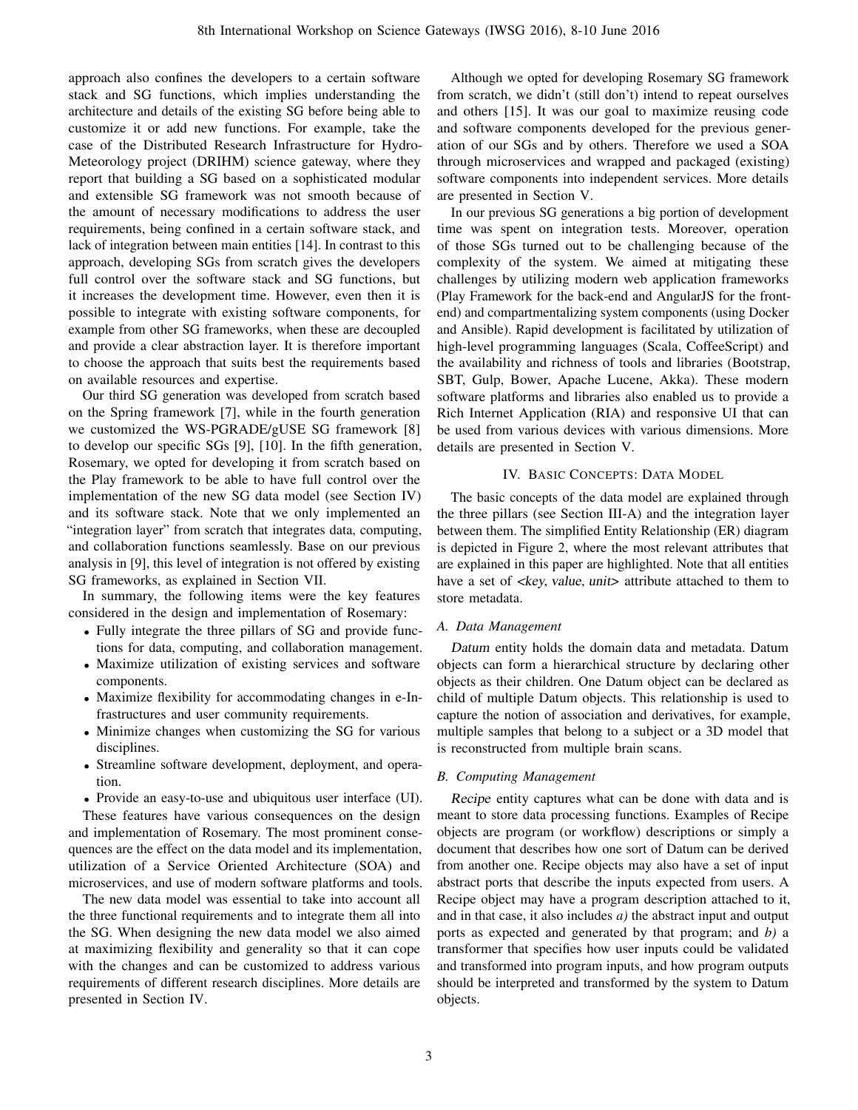approach also confines the developers to a certain software stack and SG functions, which implies understanding the architecture and details of the existing SG before being able to customize it or add new functions. For example, take the case of the Distributed Research Infrastructure for Hydro-Meteorology project (DRIHM) science gateway, where they report that building a SG based on a sophisticated modular and extensible SG framework was not smooth because of the amount of necessary modifications to address the user requirements, being confined in a certain software stack, and lack of integration between main entities [\[14\]](#page-7-13). In contrast to this approach, developing SGs from scratch gives the developers full control over the software stack and SG functions, but it increases the development time. However, even then it is possible to integrate with existing software components, for example from other SG frameworks, when these are decoupled and provide a clear abstraction layer. It is therefore important to choose the approach that suits best the requirements based on available resources and expertise.

Our third SG generation was developed from scratch based on the Spring framework [\[7\]](#page-7-6), while in the fourth generation we customized the WS-PGRADE/gUSE SG framework [\[8\]](#page-7-7) to develop our specific SGs [\[9\]](#page-7-8), [\[10\]](#page-7-9). In the fifth generation, Rosemary, we opted for developing it from scratch based on the Play framework to be able to have full control over the implementation of the new SG data model (see [Section IV\)](#page-2-0) and its software stack. Note that we only implemented an "integration layer" from scratch that integrates data, computing, and collaboration functions seamlessly. Base on our previous analysis in [\[9\]](#page-7-8), this level of integration is not offered by existing SG frameworks, as explained in [Section VII.](#page-5-1)

In summary, the following items were the key features considered in the design and implementation of Rosemary:

- Fully integrate the three pillars of SG and provide functions for data, computing, and collaboration management.
- Maximize utilization of existing services and software components.
- Maximize flexibility for accommodating changes in e-Infrastructures and user community requirements.
- Minimize changes when customizing the SG for various disciplines.
- Streamline software development, deployment, and operation.
- Provide an easy-to-use and ubiquitous user interface (UI).

These features have various consequences on the design and implementation of Rosemary. The most prominent consequences are the effect on the data model and its implementation, utilization of a Service Oriented Architecture (SOA) and microservices, and use of modern software platforms and tools.

The new data model was essential to take into account all the three functional requirements and to integrate them all into the SG. When designing the new data model we also aimed at maximizing flexibility and generality so that it can cope with the changes and can be customized to address various requirements of different research disciplines. More details are presented in [Section IV.](#page-2-0)

Although we opted for developing Rosemary SG framework from scratch, we didn't (still don't) intend to repeat ourselves and others [\[15\]](#page-7-14). It was our goal to maximize reusing code and software components developed for the previous generation of our SGs and by others. Therefore we used a SOA through microservices and wrapped and packaged (existing) software components into independent services. More details are presented in [Section V.](#page-3-0)

In our previous SG generations a big portion of development time was spent on integration tests. Moreover, operation of those SGs turned out to be challenging because of the complexity of the system. We aimed at mitigating these challenges by utilizing modern web application frameworks (Play Framework for the back-end and AngularJS for the frontend) and compartmentalizing system components (using Docker and Ansible). Rapid development is facilitated by utilization of high-level programming languages (Scala, CoffeeScript) and the availability and richness of tools and libraries (Bootstrap, SBT, Gulp, Bower, Apache Lucene, Akka). These modern software platforms and libraries also enabled us to provide a Rich Internet Application (RIA) and responsive UI that can be used from various devices with various dimensions. More details are presented in [Section V.](#page-3-0)

# IV. BASIC CONCEPTS: DATA MODEL

<span id="page-2-0"></span>The basic concepts of the data model are explained through the three pillars (see [Section](#page-0-2) III-A) and the integration layer between them. The simplified Entity Relationship (ER) diagram is depicted in [Figure 2,](#page-3-1) where the most relevant attributes that are explained in this paper are highlighted. Note that all entities have a set of <key, value, unit> attribute attached to them to store metadata.

# *A. Data Management*

Datum entity holds the domain data and metadata. Datum objects can form a hierarchical structure by declaring other objects as their children. One Datum object can be declared as child of multiple Datum objects. This relationship is used to capture the notion of association and derivatives, for example, multiple samples that belong to a subject or a 3D model that is reconstructed from multiple brain scans.

# *B. Computing Management*

Recipe entity captures what can be done with data and is meant to store data processing functions. Examples of Recipe objects are program (or workflow) descriptions or simply a document that describes how one sort of Datum can be derived from another one. Recipe objects may also have a set of input abstract ports that describe the inputs expected from users. A Recipe object may have a program description attached to it, and in that case, it also includes *a)* the abstract input and output ports as expected and generated by that program; and *b)* a transformer that specifies how user inputs could be validated and transformed into program inputs, and how program outputs should be interpreted and transformed by the system to Datum objects.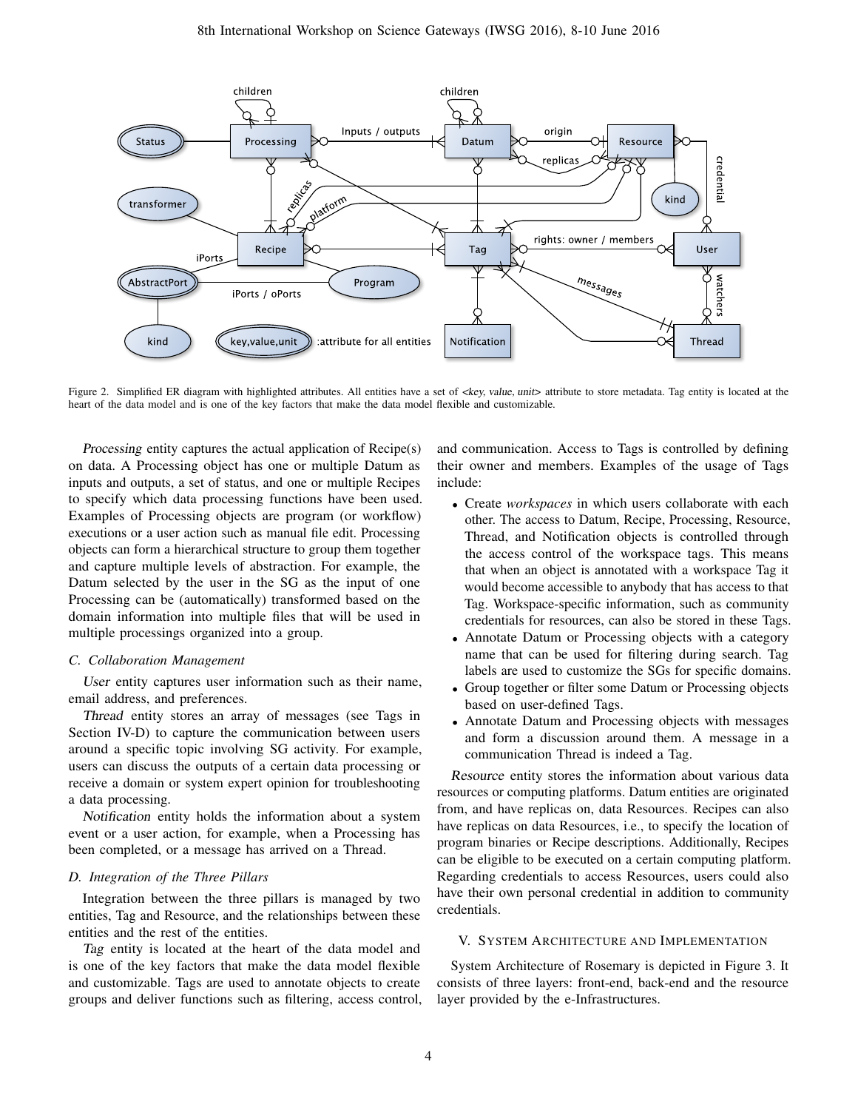

<span id="page-3-1"></span>Figure 2. Simplified ER diagram with highlighted attributes. All entities have a set of <key, value, unit> attribute to store metadata. Tag entity is located at the heart of the data model and is one of the key factors that make the data model flexible and customizable.

Processing entity captures the actual application of Recipe(s) on data. A Processing object has one or multiple Datum as inputs and outputs, a set of status, and one or multiple Recipes to specify which data processing functions have been used. Examples of Processing objects are program (or workflow) executions or a user action such as manual file edit. Processing objects can form a hierarchical structure to group them together and capture multiple levels of abstraction. For example, the Datum selected by the user in the SG as the input of one Processing can be (automatically) transformed based on the domain information into multiple files that will be used in multiple processings organized into a group.

## *C. Collaboration Management*

User entity captures user information such as their name, email address, and preferences.

Thread entity stores an array of messages (see Tags in [Section](#page-3-2) IV-D) to capture the communication between users around a specific topic involving SG activity. For example, users can discuss the outputs of a certain data processing or receive a domain or system expert opinion for troubleshooting a data processing.

Notification entity holds the information about a system event or a user action, for example, when a Processing has been completed, or a message has arrived on a Thread.

## <span id="page-3-2"></span>*D. Integration of the Three Pillars*

Integration between the three pillars is managed by two entities, Tag and Resource, and the relationships between these entities and the rest of the entities.

Tag entity is located at the heart of the data model and is one of the key factors that make the data model flexible and customizable. Tags are used to annotate objects to create groups and deliver functions such as filtering, access control, and communication. Access to Tags is controlled by defining their owner and members. Examples of the usage of Tags include:

- Create *workspaces* in which users collaborate with each other. The access to Datum, Recipe, Processing, Resource, Thread, and Notification objects is controlled through the access control of the workspace tags. This means that when an object is annotated with a workspace Tag it would become accessible to anybody that has access to that Tag. Workspace-specific information, such as community credentials for resources, can also be stored in these Tags.
- Annotate Datum or Processing objects with a category name that can be used for filtering during search. Tag labels are used to customize the SGs for specific domains.
- Group together or filter some Datum or Processing objects based on user-defined Tags.
- Annotate Datum and Processing objects with messages and form a discussion around them. A message in a communication Thread is indeed a Tag.

Resource entity stores the information about various data resources or computing platforms. Datum entities are originated from, and have replicas on, data Resources. Recipes can also have replicas on data Resources, i.e., to specify the location of program binaries or Recipe descriptions. Additionally, Recipes can be eligible to be executed on a certain computing platform. Regarding credentials to access Resources, users could also have their own personal credential in addition to community credentials.

## <span id="page-3-0"></span>V. SYSTEM ARCHITECTURE AND IMPLEMENTATION

System Architecture of Rosemary is depicted in [Figure 3.](#page-4-1) It consists of three layers: front-end, back-end and the resource layer provided by the e-Infrastructures.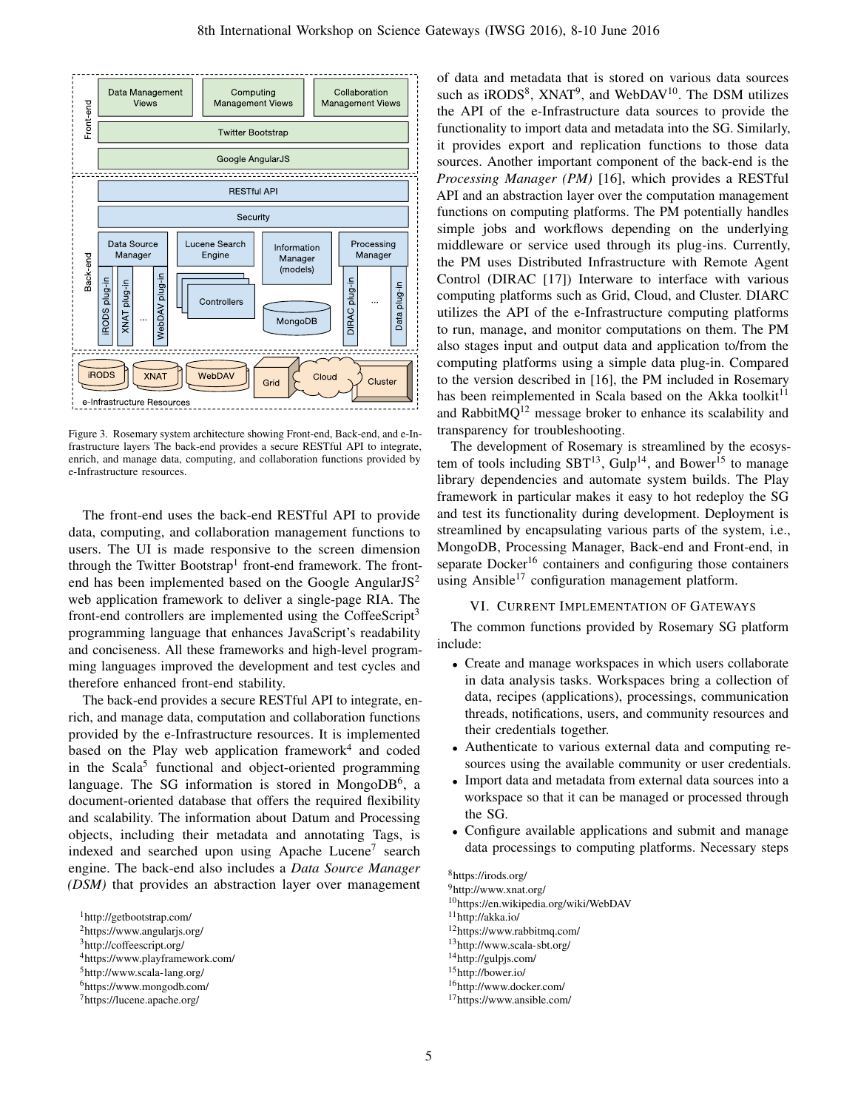

<span id="page-4-1"></span>Figure 3. Rosemary system architecture showing Front-end, Back-end, and e-Infrastructure layers The back-end provides a secure RESTful API to integrate, enrich, and manage data, computing, and collaboration functions provided by e-Infrastructure resources.

The front-end uses the back-end RESTful API to provide data, computing, and collaboration management functions to users. The UI is made responsive to the screen dimension through the Twitter Bootstrap<sup>[1](#page-4-2)</sup> front-end framework. The frontend has been implemented based on the Google Angular $JS^2$  $JS^2$ web application framework to deliver a single-page RIA. The front-end controllers are implemented using the CoffeeScript<sup>[3](#page-4-4)</sup> programming language that enhances JavaScript's readability and conciseness. All these frameworks and high-level programming languages improved the development and test cycles and therefore enhanced front-end stability.

The back-end provides a secure RESTful API to integrate, enrich, and manage data, computation and collaboration functions provided by the e-Infrastructure resources. It is implemented based on the Play web application framework<sup>[4](#page-4-5)</sup> and coded in the Scala<sup>[5](#page-4-6)</sup> functional and object-oriented programming language. The SG information is stored in Mongo $DB^6$  $DB^6$ , a document-oriented database that offers the required flexibility and scalability. The information about Datum and Processing objects, including their metadata and annotating Tags, is indexed and searched upon using Apache Lucene<sup>[7](#page-4-8)</sup> search engine. The back-end also includes a *Data Source Manager (DSM)* that provides an abstraction layer over management

<span id="page-4-2"></span><sup>1</sup><http://getbootstrap.com/>

- <span id="page-4-4"></span><sup>3</sup><http://coffeescript.org/>
- <span id="page-4-5"></span><sup>4</sup><https://www.playframework.com/>
- <span id="page-4-6"></span><sup>5</sup><http://www.scala-lang.org/>
- <span id="page-4-7"></span><sup>6</sup><https://www.mongodb.com/>

of data and metadata that is stored on various data sources such as iRODS<sup>[8](#page-4-9)</sup>, XNAT<sup>[9](#page-4-10)</sup>, and WebDAV<sup>[10](#page-4-11)</sup>. The DSM utilizes the API of the e-Infrastructure data sources to provide the functionality to import data and metadata into the SG. Similarly, it provides export and replication functions to those data sources. Another important component of the back-end is the *Processing Manager (PM)* [\[16\]](#page-7-15), which provides a RESTful API and an abstraction layer over the computation management functions on computing platforms. The PM potentially handles simple jobs and workflows depending on the underlying middleware or service used through its plug-ins. Currently, the PM uses Distributed Infrastructure with Remote Agent Control (DIRAC [\[17\]](#page-7-16)) Interware to interface with various computing platforms such as Grid, Cloud, and Cluster. DIARC utilizes the API of the e-Infrastructure computing platforms to run, manage, and monitor computations on them. The PM also stages input and output data and application to/from the computing platforms using a simple data plug-in. Compared to the version described in [\[16\]](#page-7-15), the PM included in Rosemary has been reimplemented in Scala based on the Akka toolkit $11$ and RabbitMQ<sup>[12](#page-4-13)</sup> message broker to enhance its scalability and transparency for troubleshooting.

The development of Rosemary is streamlined by the ecosystem of tools including  $SBT^{13}$  $SBT^{13}$  $SBT^{13}$ ,  $Gulp^{14}$  $Gulp^{14}$  $Gulp^{14}$ , and  $Bower^{15}$  $Bower^{15}$  $Bower^{15}$  to manage library dependencies and automate system builds. The Play framework in particular makes it easy to hot redeploy the SG and test its functionality during development. Deployment is streamlined by encapsulating various parts of the system, i.e., MongoDB, Processing Manager, Back-end and Front-end, in separate Docker<sup>[16](#page-4-17)</sup> containers and configuring those containers using Ansible<sup>[17](#page-4-18)</sup> configuration management platform.

#### VI. CURRENT IMPLEMENTATION OF GATEWAYS

<span id="page-4-0"></span>The common functions provided by Rosemary SG platform include:

- Create and manage workspaces in which users collaborate in data analysis tasks. Workspaces bring a collection of data, recipes (applications), processings, communication threads, notifications, users, and community resources and their credentials together.
- Authenticate to various external data and computing resources using the available community or user credentials.
- Import data and metadata from external data sources into a workspace so that it can be managed or processed through the SG.
- Configure available applications and submit and manage data processings to computing platforms. Necessary steps

## <span id="page-4-9"></span><sup>8</sup><https://irods.org/>

- <span id="page-4-10"></span><sup>9</sup><http://www.xnat.org/>
- <span id="page-4-11"></span><sup>10</sup><https://en.wikipedia.org/wiki/WebDAV>
- <span id="page-4-12"></span><sup>11</sup><http://akka.io/>
- <span id="page-4-13"></span><sup>12</sup><https://www.rabbitmq.com/>
- <span id="page-4-14"></span><sup>13</sup><http://www.scala-sbt.org/>
- <span id="page-4-15"></span><sup>14</sup><http://gulpjs.com/>
- <span id="page-4-16"></span><sup>15</sup><http://bower.io/>
- <span id="page-4-17"></span><sup>16</sup><http://www.docker.com/>
- <span id="page-4-18"></span><sup>17</sup><https://www.ansible.com/>

<span id="page-4-3"></span><sup>2</sup><https://www.angularjs.org/>

<span id="page-4-8"></span><sup>7</sup><https://lucene.apache.org/>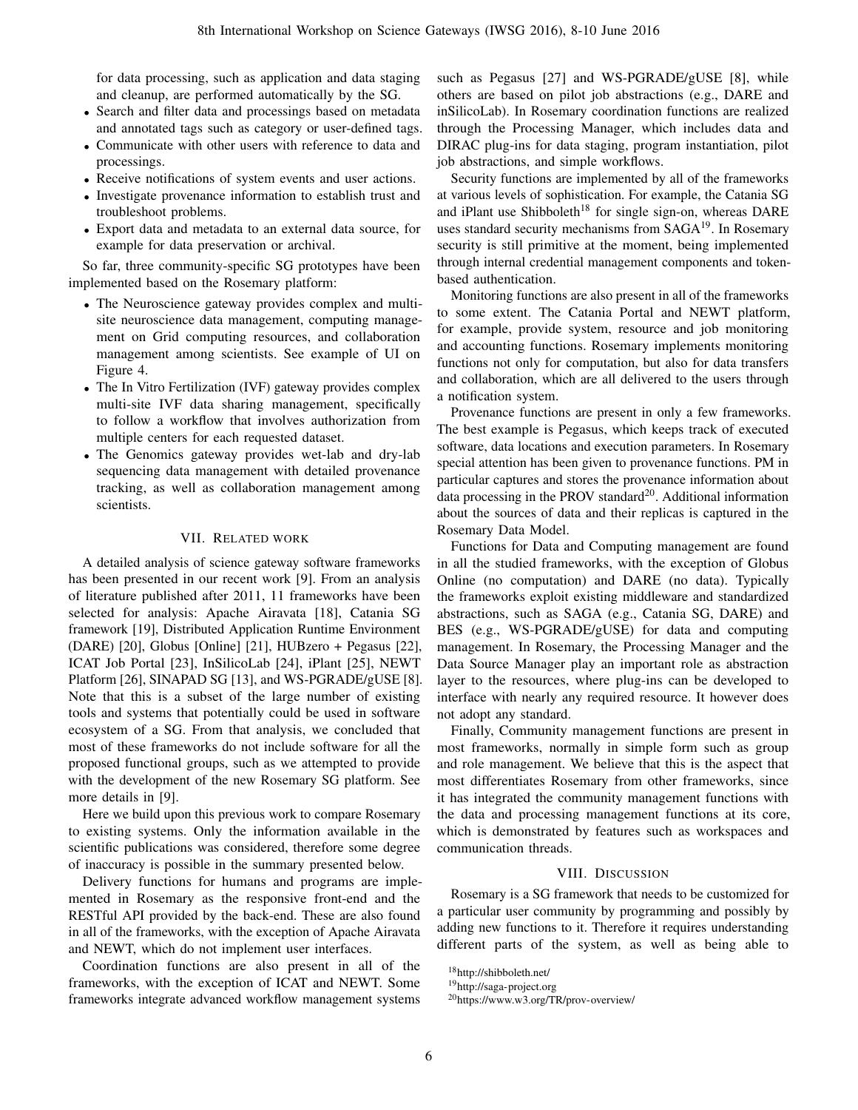for data processing, such as application and data staging and cleanup, are performed automatically by the SG.

- Search and filter data and processings based on metadata and annotated tags such as category or user-defined tags.
- Communicate with other users with reference to data and processings.
- Receive notifications of system events and user actions.
- Investigate provenance information to establish trust and troubleshoot problems.
- Export data and metadata to an external data source, for example for data preservation or archival.

So far, three community-specific SG prototypes have been implemented based on the Rosemary platform:

- The Neuroscience gateway provides complex and multisite neuroscience data management, computing management on Grid computing resources, and collaboration management among scientists. See example of UI on [Figure 4.](#page-6-1)
- The In Vitro Fertilization (IVF) gateway provides complex multi-site IVF data sharing management, specifically to follow a workflow that involves authorization from multiple centers for each requested dataset.
- The Genomics gateway provides wet-lab and dry-lab sequencing data management with detailed provenance tracking, as well as collaboration management among scientists.

#### VII. RELATED WORK

<span id="page-5-1"></span>A detailed analysis of science gateway software frameworks has been presented in our recent work [\[9\]](#page-7-8). From an analysis of literature published after 2011, 11 frameworks have been selected for analysis: Apache Airavata [\[18\]](#page-7-17), Catania SG framework [\[19\]](#page-7-18), Distributed Application Runtime Environment (DARE) [\[20\]](#page-7-19), Globus [Online] [\[21\]](#page-7-20), HUBzero + Pegasus [\[22\]](#page-7-21), ICAT Job Portal [\[23\]](#page-7-22), InSilicoLab [\[24\]](#page-7-23), iPlant [\[25\]](#page-7-24), NEWT Platform [\[26\]](#page-7-25), SINAPAD SG [\[13\]](#page-7-12), and WS-PGRADE/gUSE [\[8\]](#page-7-7). Note that this is a subset of the large number of existing tools and systems that potentially could be used in software ecosystem of a SG. From that analysis, we concluded that most of these frameworks do not include software for all the proposed functional groups, such as we attempted to provide with the development of the new Rosemary SG platform. See more details in [\[9\]](#page-7-8).

Here we build upon this previous work to compare Rosemary to existing systems. Only the information available in the scientific publications was considered, therefore some degree of inaccuracy is possible in the summary presented below.

Delivery functions for humans and programs are implemented in Rosemary as the responsive front-end and the RESTful API provided by the back-end. These are also found in all of the frameworks, with the exception of Apache Airavata and NEWT, which do not implement user interfaces.

Coordination functions are also present in all of the frameworks, with the exception of ICAT and NEWT. Some frameworks integrate advanced workflow management systems

such as Pegasus [\[27\]](#page-7-26) and WS-PGRADE/gUSE [\[8\]](#page-7-7), while others are based on pilot job abstractions (e.g., DARE and inSilicoLab). In Rosemary coordination functions are realized through the Processing Manager, which includes data and DIRAC plug-ins for data staging, program instantiation, pilot job abstractions, and simple workflows.

Security functions are implemented by all of the frameworks at various levels of sophistication. For example, the Catania SG and iPlant use Shibboleth<sup>[18](#page-5-2)</sup> for single sign-on, whereas DARE uses standard security mechanisms from SAGA<sup>[19](#page-5-3)</sup>. In Rosemary security is still primitive at the moment, being implemented through internal credential management components and tokenbased authentication.

Monitoring functions are also present in all of the frameworks to some extent. The Catania Portal and NEWT platform, for example, provide system, resource and job monitoring and accounting functions. Rosemary implements monitoring functions not only for computation, but also for data transfers and collaboration, which are all delivered to the users through a notification system.

Provenance functions are present in only a few frameworks. The best example is Pegasus, which keeps track of executed software, data locations and execution parameters. In Rosemary special attention has been given to provenance functions. PM in particular captures and stores the provenance information about data processing in the PROV standard<sup>[20](#page-5-4)</sup>. Additional information about the sources of data and their replicas is captured in the Rosemary Data Model.

Functions for Data and Computing management are found in all the studied frameworks, with the exception of Globus Online (no computation) and DARE (no data). Typically the frameworks exploit existing middleware and standardized abstractions, such as SAGA (e.g., Catania SG, DARE) and BES (e.g., WS-PGRADE/gUSE) for data and computing management. In Rosemary, the Processing Manager and the Data Source Manager play an important role as abstraction layer to the resources, where plug-ins can be developed to interface with nearly any required resource. It however does not adopt any standard.

Finally, Community management functions are present in most frameworks, normally in simple form such as group and role management. We believe that this is the aspect that most differentiates Rosemary from other frameworks, since it has integrated the community management functions with the data and processing management functions at its core, which is demonstrated by features such as workspaces and communication threads.

#### VIII. DISCUSSION

<span id="page-5-0"></span>Rosemary is a SG framework that needs to be customized for a particular user community by programming and possibly by adding new functions to it. Therefore it requires understanding different parts of the system, as well as being able to

<span id="page-5-2"></span><sup>18</sup><http://shibboleth.net/>

<span id="page-5-3"></span><sup>19</sup><http://saga-project.org>

<span id="page-5-4"></span><sup>20</sup><https://www.w3.org/TR/prov-overview/>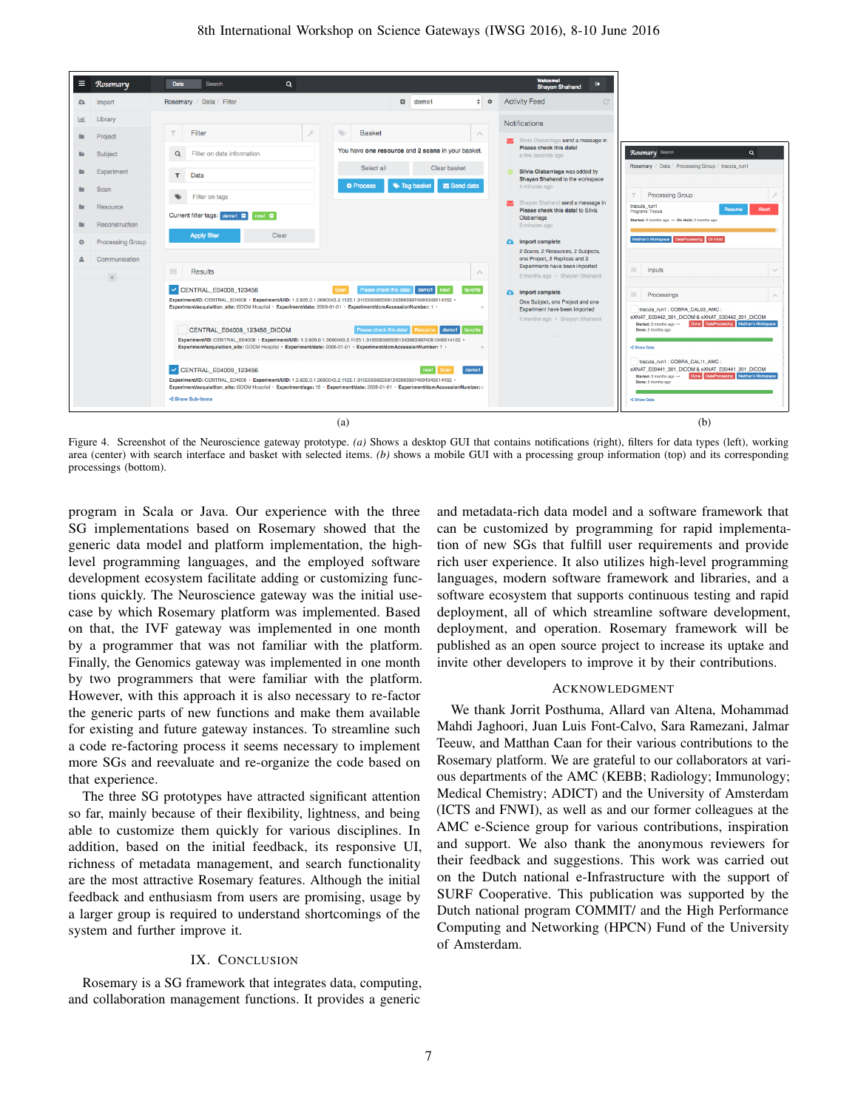

<span id="page-6-1"></span>Figure 4. Screenshot of the Neuroscience gateway prototype. *(a)* Shows a desktop GUI that contains notifications (right), filters for data types (left), working area (center) with search interface and basket with selected items. *(b)* shows a mobile GUI with a processing group information (top) and its corresponding processings (bottom).

program in Scala or Java. Our experience with the three SG implementations based on Rosemary showed that the generic data model and platform implementation, the highlevel programming languages, and the employed software development ecosystem facilitate adding or customizing functions quickly. The Neuroscience gateway was the initial usecase by which Rosemary platform was implemented. Based on that, the IVF gateway was implemented in one month by a programmer that was not familiar with the platform. Finally, the Genomics gateway was implemented in one month by two programmers that were familiar with the platform. However, with this approach it is also necessary to re-factor the generic parts of new functions and make them available for existing and future gateway instances. To streamline such a code re-factoring process it seems necessary to implement more SGs and reevaluate and re-organize the code based on that experience.

The three SG prototypes have attracted significant attention so far, mainly because of their flexibility, lightness, and being able to customize them quickly for various disciplines. In addition, based on the initial feedback, its responsive UI, richness of metadata management, and search functionality are the most attractive Rosemary features. Although the initial feedback and enthusiasm from users are promising, usage by a larger group is required to understand shortcomings of the system and further improve it.

## IX. CONCLUSION

<span id="page-6-0"></span>Rosemary is a SG framework that integrates data, computing, and collaboration management functions. It provides a generic

and metadata-rich data model and a software framework that can be customized by programming for rapid implementation of new SGs that fulfill user requirements and provide rich user experience. It also utilizes high-level programming languages, modern software framework and libraries, and a software ecosystem that supports continuous testing and rapid deployment, all of which streamline software development, deployment, and operation. Rosemary framework will be published as an open source project to increase its uptake and invite other developers to improve it by their contributions.

#### ACKNOWLEDGMENT

We thank Jorrit Posthuma, Allard van Altena, Mohammad Mahdi Jaghoori, Juan Luis Font-Calvo, Sara Ramezani, Jalmar Teeuw, and Matthan Caan for their various contributions to the Rosemary platform. We are grateful to our collaborators at various departments of the AMC (KEBB; Radiology; Immunology; Medical Chemistry; ADICT) and the University of Amsterdam (ICTS and FNWI), as well as and our former colleagues at the AMC e-Science group for various contributions, inspiration and support. We also thank the anonymous reviewers for their feedback and suggestions. This work was carried out on the Dutch national e-Infrastructure with the support of SURF Cooperative. This publication was supported by the Dutch national program COMMIT/ and the High Performance Computing and Networking (HPCN) Fund of the University of Amsterdam.